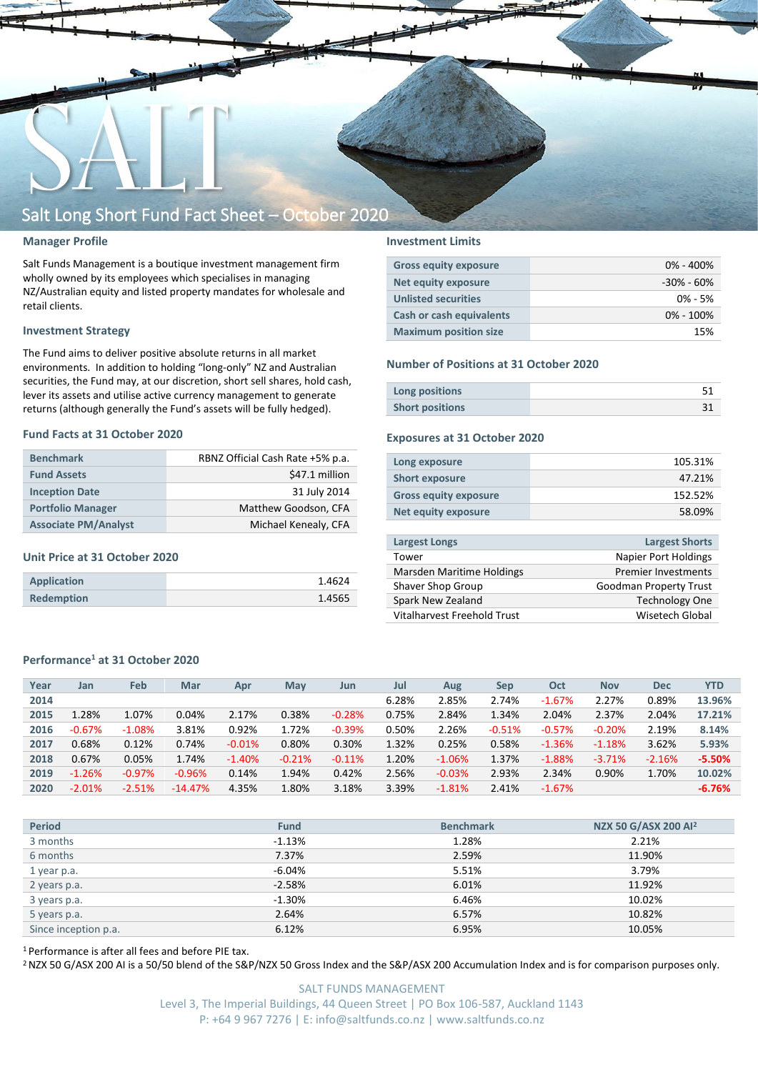

#### **Manager Profile**

Salt Funds Management is a boutique investment management firm wholly owned by its employees which specialises in managing NZ/Australian equity and listed property mandates for wholesale and retail clients.

#### **Investment Strategy**

The Fund aims to deliver positive absolute returns in all market environments. In addition to holding "long-only" NZ and Australian securities, the Fund may, at our discretion, short sell shares, hold cash, lever its assets and utilise active currency management to generate returns (although generally the Fund's assets will be fully hedged).

#### **Fund Facts at 31 October 2020**

| <b>Benchmark</b>            | RBNZ Official Cash Rate +5% p.a. |
|-----------------------------|----------------------------------|
| <b>Fund Assets</b>          | \$47.1 million                   |
| <b>Inception Date</b>       | 31 July 2014                     |
| <b>Portfolio Manager</b>    | Matthew Goodson, CFA             |
| <b>Associate PM/Analyst</b> | Michael Kenealy, CFA             |

#### **Unit Price at 31 October 2020**

| Application       | 1.4624 |
|-------------------|--------|
| <b>Redemption</b> | 1.4565 |

#### **Investment Limits**

| <b>Gross equity exposure</b>    | $0\% - 400\%$  |
|---------------------------------|----------------|
| Net equity exposure             | $-30\% - 60\%$ |
| <b>Unlisted securities</b>      | $0\% - 5\%$    |
| <b>Cash or cash equivalents</b> | $0\% - 100\%$  |
| <b>Maximum position size</b>    | 15%            |

#### **Number of Positions at 31 October 2020**

| Long positions         |  |
|------------------------|--|
| <b>Short positions</b> |  |

#### **Exposures at 31 October 2020**

| Long exposure                | 105.31% |
|------------------------------|---------|
| <b>Short exposure</b>        | 47.21%  |
| <b>Gross equity exposure</b> | 152.52% |
| Net equity exposure          | 58.09%  |
|                              |         |

| <b>Largest Longs</b>        | <b>Largest Shorts</b>         |
|-----------------------------|-------------------------------|
| Tower                       | <b>Napier Port Holdings</b>   |
| Marsden Maritime Holdings   | <b>Premier Investments</b>    |
| Shaver Shop Group           | <b>Goodman Property Trust</b> |
| Spark New Zealand           | <b>Technology One</b>         |
| Vitalharvest Freehold Trust | Wisetech Global               |

#### **Performance<sup>1</sup> at 31 October 2020**

| Year | Jan      | <b>Feb</b> | Mar       | Apr      | May      | Jun      | Jul   | Aug      | Sep      | Oct       | <b>Nov</b> | <b>Dec</b> | <b>YTD</b> |
|------|----------|------------|-----------|----------|----------|----------|-------|----------|----------|-----------|------------|------------|------------|
| 2014 |          |            |           |          |          |          | 6.28% | 2.85%    | 2.74%    | $-1.67%$  | 2.27%      | 0.89%      | 13.96%     |
| 2015 | 1.28%    | 1.07%      | 0.04%     | 2.17%    | 0.38%    | $-0.28%$ | 0.75% | 2.84%    | 1.34%    | 2.04%     | 2.37%      | 2.04%      | 17.21%     |
| 2016 | $-0.67%$ | $-1.08%$   | 3.81%     | 0.92%    | 1.72%    | $-0.39%$ | 0.50% | 2.26%    | $-0.51%$ | $-0.57%$  | $-0.20%$   | 2.19%      | 8.14%      |
| 2017 | 0.68%    | 0.12%      | 0.74%     | $-0.01%$ | 0.80%    | 0.30%    | 1.32% | 0.25%    | 0.58%    | $-1.36%$  | $-1.18%$   | 3.62%      | 5.93%      |
| 2018 | 0.67%    | 0.05%      | 1.74%     | $-1.40%$ | $-0.21%$ | $-0.11%$ | 1.20% | $-1.06%$ | 1.37%    | $-1.88%$  | $-3.71%$   | $-2.16%$   | $-5.50%$   |
| 2019 | $-1.26%$ | $-0.97%$   | $-0.96%$  | 0.14%    | 1.94%    | 0.42%    | 2.56% | $-0.03%$ | 2.93%    | 2.34%     | 0.90%      | 1.70%      | 10.02%     |
| 2020 | $-2.01%$ | $-2.51%$   | $-14.47%$ | 4.35%    | 1.80%    | 3.18%    | 3.39% | $-1.81%$ | 2.41%    | $-1.67\%$ |            |            | $-6.76%$   |
|      |          |            |           |          |          |          |       |          |          |           |            |            |            |

| <b>Period</b>        | <b>Fund</b> | <b>Benchmark</b> | NZX 50 G/ASX 200 Al <sup>2</sup> |
|----------------------|-------------|------------------|----------------------------------|
| 3 months             | $-1.13%$    | 1.28%            | 2.21%                            |
| 6 months             | 7.37%       | 2.59%            | 11.90%                           |
| 1 year p.a.          | $-6.04%$    | 5.51%            | 3.79%                            |
| 2 years p.a.         | $-2.58%$    | 6.01%            | 11.92%                           |
| 3 years p.a.         | $-1.30%$    | 6.46%            | 10.02%                           |
| 5 years p.a.         | 2.64%       | 6.57%            | 10.82%                           |
| Since inception p.a. | 6.12%       | 6.95%            | 10.05%                           |
|                      |             |                  |                                  |

<sup>1</sup> Performance is after all fees and before PIE tax.

<sup>2</sup> NZX 50 G/ASX 200 AI is a 50/50 blend of the S&P/NZX 50 Gross Index and the S&P/ASX 200 Accumulation Index and is for comparison purposes only.

SALT FUNDS MANAGEMENT Level 3, The Imperial Buildings, 44 Queen Street | PO Box 106-587, Auckland 1143 P: +64 9 967 7276 | E: info@saltfunds.co.nz | www.saltfunds.co.nz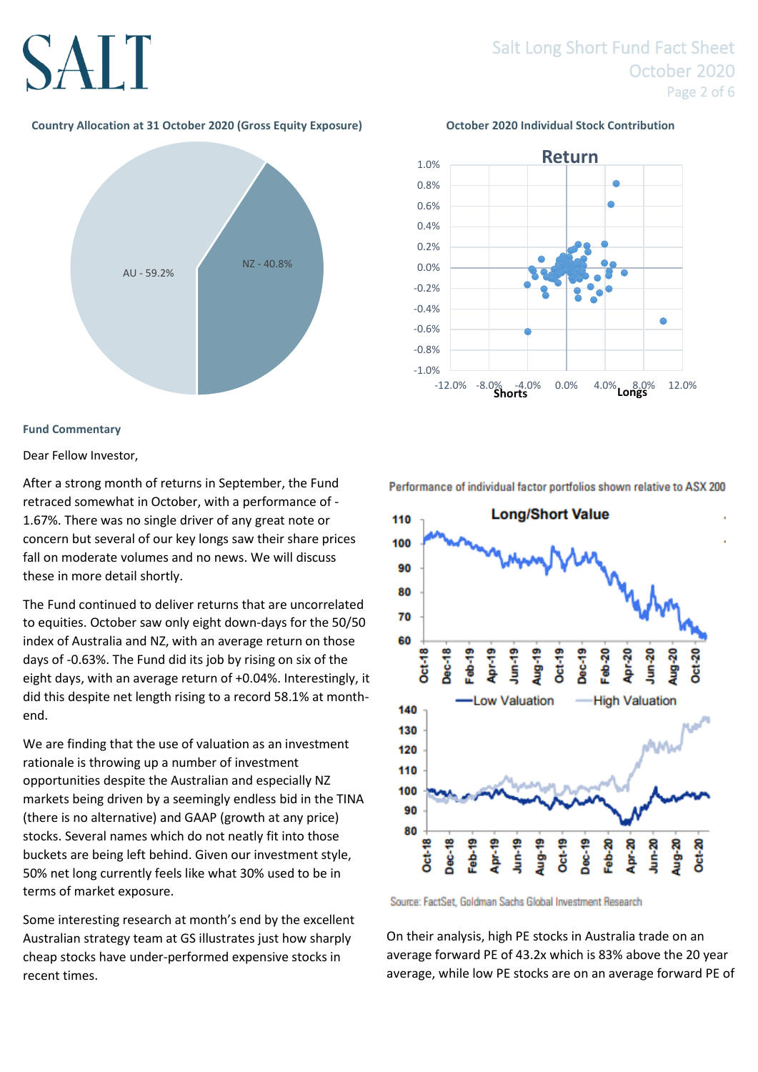## SALT

## Salt Long Short Fund Fact Sheet October 2020 Page 2 of 6

#### **Country Allocation at 31 October 2020 (Gross Equity Exposure) October 2020 Individual Stock Contribution**



#### **Fund Commentary**

Dear Fellow Investor,

After a strong month of returns in September, the Fund retraced somewhat in October, with a performance of - 1.67%. There was no single driver of any great note or concern but several of our key longs saw their share prices fall on moderate volumes and no news. We will discuss these in more detail shortly.

The Fund continued to deliver returns that are uncorrelated to equities. October saw only eight down-days for the 50/50 index of Australia and NZ, with an average return on those days of -0.63%. The Fund did its job by rising on six of the eight days, with an average return of +0.04%. Interestingly, it did this despite net length rising to a record 58.1% at monthend.

We are finding that the use of valuation as an investment rationale is throwing up a number of investment opportunities despite the Australian and especially NZ markets being driven by a seemingly endless bid in the TINA (there is no alternative) and GAAP (growth at any price) stocks. Several names which do not neatly fit into those buckets are being left behind. Given our investment style, 50% net long currently feels like what 30% used to be in terms of market exposure.

Some interesting research at month's end by the excellent Australian strategy team at GS illustrates just how sharply cheap stocks have under-performed expensive stocks in recent times.



Performance of individual factor portfolios shown relative to ASX 200



Source: FactSet, Goldman Sachs Global Investment Research

On their analysis, high PE stocks in Australia trade on an average forward PE of 43.2x which is 83% above the 20 year average, while low PE stocks are on an average forward PE of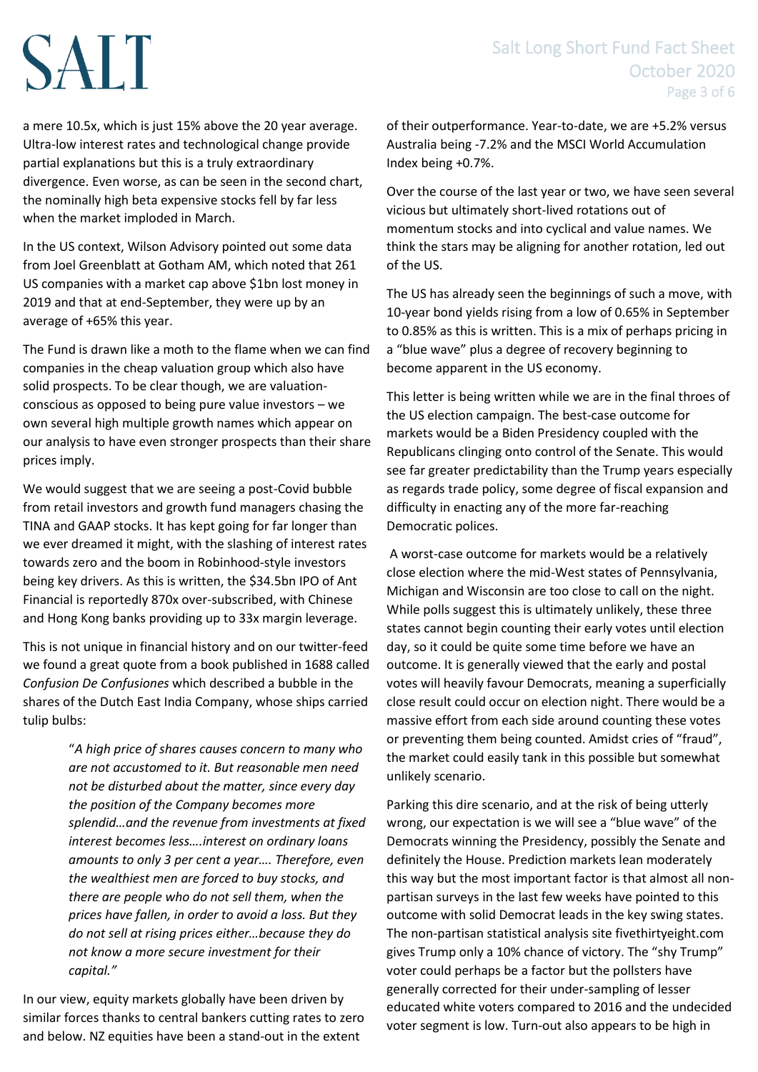### Salt Long Short Fund Fact Sheet October 2020 Page 3 of 6

# **SALT**

a mere 10.5x, which is just 15% above the 20 year average. Ultra-low interest rates and technological change provide partial explanations but this is a truly extraordinary divergence. Even worse, as can be seen in the second chart, the nominally high beta expensive stocks fell by far less when the market imploded in March.

In the US context, Wilson Advisory pointed out some data from Joel Greenblatt at Gotham AM, which noted that 261 US companies with a market cap above \$1bn lost money in 2019 and that at end-September, they were up by an average of +65% this year.

The Fund is drawn like a moth to the flame when we can find companies in the cheap valuation group which also have solid prospects. To be clear though, we are valuationconscious as opposed to being pure value investors – we own several high multiple growth names which appear on our analysis to have even stronger prospects than their share prices imply.

We would suggest that we are seeing a post-Covid bubble from retail investors and growth fund managers chasing the TINA and GAAP stocks. It has kept going for far longer than we ever dreamed it might, with the slashing of interest rates towards zero and the boom in Robinhood-style investors being key drivers. As this is written, the \$34.5bn IPO of Ant Financial is reportedly 870x over-subscribed, with Chinese and Hong Kong banks providing up to 33x margin leverage.

This is not unique in financial history and on our twitter-feed we found a great quote from a book published in 1688 called *Confusion De Confusiones* which described a bubble in the shares of the Dutch East India Company, whose ships carried tulip bulbs:

> "*A high price of shares causes concern to many who are not accustomed to it. But reasonable men need not be disturbed about the matter, since every day the position of the Company becomes more splendid…and the revenue from investments at fixed interest becomes less….interest on ordinary loans amounts to only 3 per cent a year…. Therefore, even the wealthiest men are forced to buy stocks, and there are people who do not sell them, when the prices have fallen, in order to avoid a loss. But they do not sell at rising prices either…because they do not know a more secure investment for their capital."*

In our view, equity markets globally have been driven by similar forces thanks to central bankers cutting rates to zero and below. NZ equities have been a stand-out in the extent

of their outperformance. Year-to-date, we are +5.2% versus Australia being -7.2% and the MSCI World Accumulation Index being +0.7%.

Over the course of the last year or two, we have seen several vicious but ultimately short-lived rotations out of momentum stocks and into cyclical and value names. We think the stars may be aligning for another rotation, led out of the US.

The US has already seen the beginnings of such a move, with 10-year bond yields rising from a low of 0.65% in September to 0.85% as this is written. This is a mix of perhaps pricing in a "blue wave" plus a degree of recovery beginning to become apparent in the US economy.

This letter is being written while we are in the final throes of the US election campaign. The best-case outcome for markets would be a Biden Presidency coupled with the Republicans clinging onto control of the Senate. This would see far greater predictability than the Trump years especially as regards trade policy, some degree of fiscal expansion and difficulty in enacting any of the more far-reaching Democratic polices.

A worst-case outcome for markets would be a relatively close election where the mid-West states of Pennsylvania, Michigan and Wisconsin are too close to call on the night. While polls suggest this is ultimately unlikely, these three states cannot begin counting their early votes until election day, so it could be quite some time before we have an outcome. It is generally viewed that the early and postal votes will heavily favour Democrats, meaning a superficially close result could occur on election night. There would be a massive effort from each side around counting these votes or preventing them being counted. Amidst cries of "fraud", the market could easily tank in this possible but somewhat unlikely scenario.

Parking this dire scenario, and at the risk of being utterly wrong, our expectation is we will see a "blue wave" of the Democrats winning the Presidency, possibly the Senate and definitely the House. Prediction markets lean moderately this way but the most important factor is that almost all nonpartisan surveys in the last few weeks have pointed to this outcome with solid Democrat leads in the key swing states. The non-partisan statistical analysis site fivethirtyeight.com gives Trump only a 10% chance of victory. The "shy Trump" voter could perhaps be a factor but the pollsters have generally corrected for their under-sampling of lesser educated white voters compared to 2016 and the undecided voter segment is low. Turn-out also appears to be high in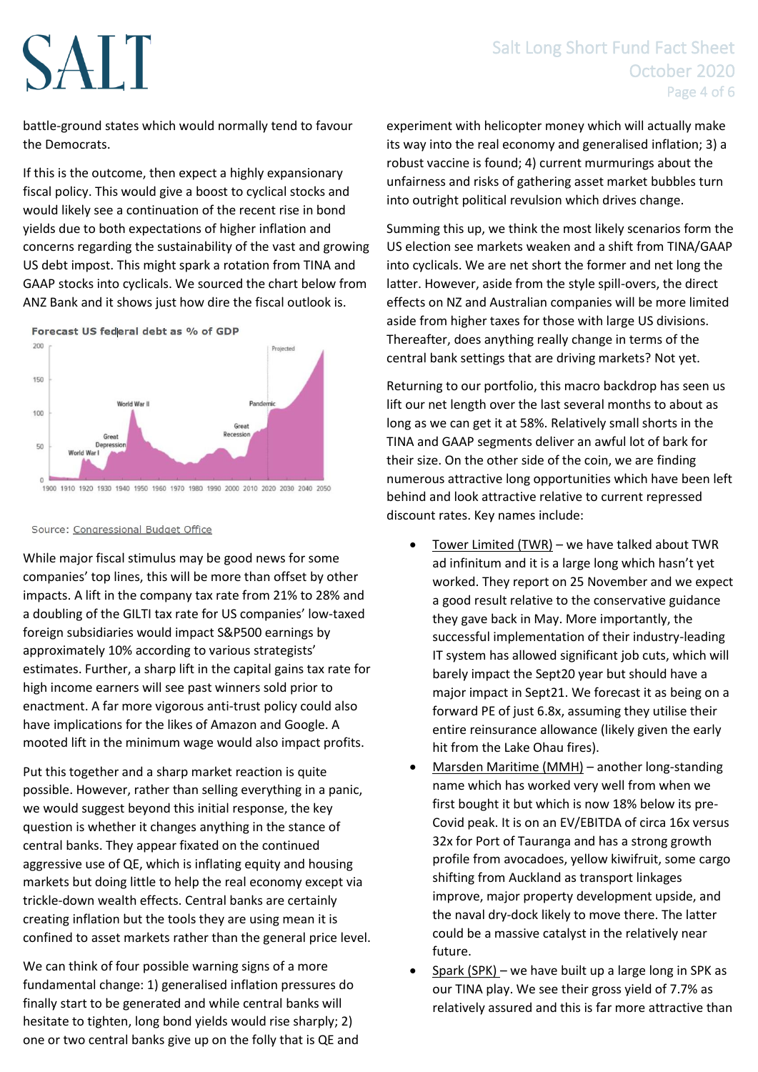## Salt Long Short Fund Fact Sheet October 2020 Page 4 of 6

# SALT

battle-ground states which would normally tend to favour the Democrats.

If this is the outcome, then expect a highly expansionary fiscal policy. This would give a boost to cyclical stocks and would likely see a continuation of the recent rise in bond yields due to both expectations of higher inflation and concerns regarding the sustainability of the vast and growing US debt impost. This might spark a rotation from TINA and GAAP stocks into cyclicals. We sourced the chart below from ANZ Bank and it shows just how dire the fiscal outlook is.



#### Source: Congressional Budget Office

While major fiscal stimulus may be good news for some companies' top lines, this will be more than offset by other impacts. A lift in the company tax rate from 21% to 28% and a doubling of the GILTI tax rate for US companies' low-taxed foreign subsidiaries would impact S&P500 earnings by approximately 10% according to various strategists' estimates. Further, a sharp lift in the capital gains tax rate for high income earners will see past winners sold prior to enactment. A far more vigorous anti-trust policy could also have implications for the likes of Amazon and Google. A mooted lift in the minimum wage would also impact profits.

Put this together and a sharp market reaction is quite possible. However, rather than selling everything in a panic, we would suggest beyond this initial response, the key question is whether it changes anything in the stance of central banks. They appear fixated on the continued aggressive use of QE, which is inflating equity and housing markets but doing little to help the real economy except via trickle-down wealth effects. Central banks are certainly creating inflation but the tools they are using mean it is confined to asset markets rather than the general price level.

We can think of four possible warning signs of a more fundamental change: 1) generalised inflation pressures do finally start to be generated and while central banks will hesitate to tighten, long bond yields would rise sharply; 2) one or two central banks give up on the folly that is QE and experiment with helicopter money which will actually make its way into the real economy and generalised inflation; 3) a robust vaccine is found; 4) current murmurings about the unfairness and risks of gathering asset market bubbles turn into outright political revulsion which drives change.

Summing this up, we think the most likely scenarios form the US election see markets weaken and a shift from TINA/GAAP into cyclicals. We are net short the former and net long the latter. However, aside from the style spill-overs, the direct effects on NZ and Australian companies will be more limited aside from higher taxes for those with large US divisions. Thereafter, does anything really change in terms of the central bank settings that are driving markets? Not yet.

Returning to our portfolio, this macro backdrop has seen us lift our net length over the last several months to about as long as we can get it at 58%. Relatively small shorts in the TINA and GAAP segments deliver an awful lot of bark for their size. On the other side of the coin, we are finding numerous attractive long opportunities which have been left behind and look attractive relative to current repressed discount rates. Key names include:

- Tower Limited (TWR) we have talked about TWR ad infinitum and it is a large long which hasn't yet worked. They report on 25 November and we expect a good result relative to the conservative guidance they gave back in May. More importantly, the successful implementation of their industry-leading IT system has allowed significant job cuts, which will barely impact the Sept20 year but should have a major impact in Sept21. We forecast it as being on a forward PE of just 6.8x, assuming they utilise their entire reinsurance allowance (likely given the early hit from the Lake Ohau fires).
- Marsden Maritime (MMH) another long-standing name which has worked very well from when we first bought it but which is now 18% below its pre-Covid peak. It is on an EV/EBITDA of circa 16x versus 32x for Port of Tauranga and has a strong growth profile from avocadoes, yellow kiwifruit, some cargo shifting from Auckland as transport linkages improve, major property development upside, and the naval dry-dock likely to move there. The latter could be a massive catalyst in the relatively near future.
- Spark (SPK) we have built up a large long in SPK as our TINA play. We see their gross yield of 7.7% as relatively assured and this is far more attractive than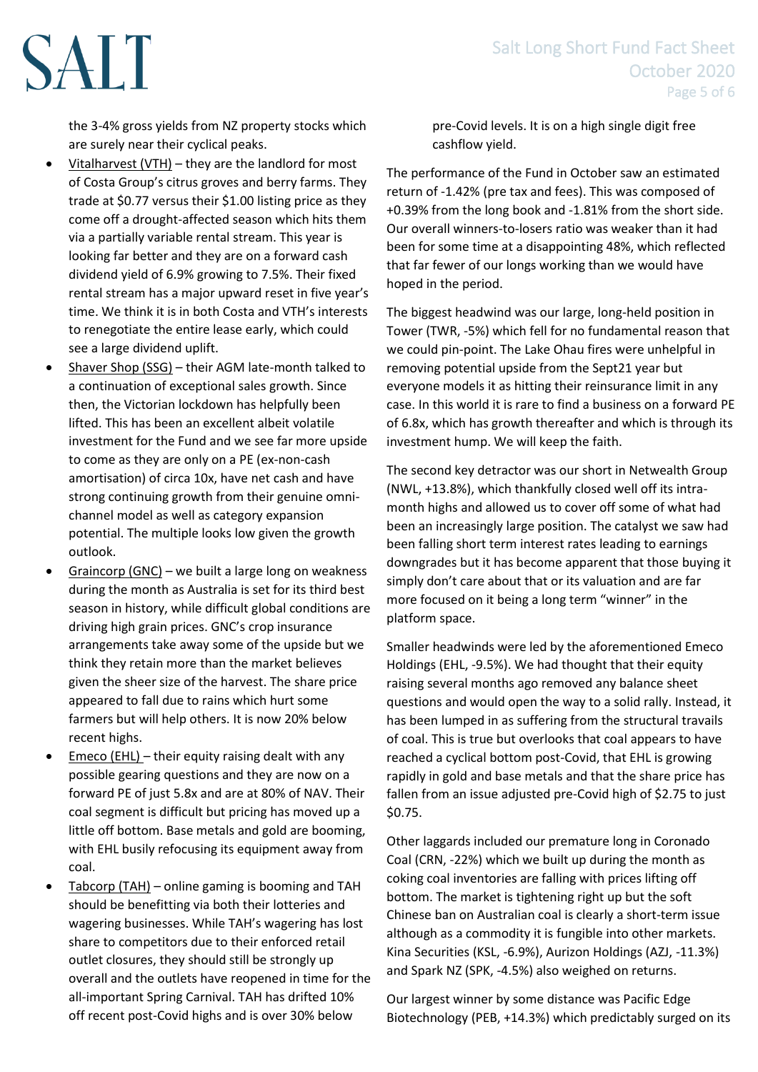SALT

the 3-4% gross yields from NZ property stocks which are surely near their cyclical peaks.

- Vitalharvest (VTH) they are the landlord for most of Costa Group's citrus groves and berry farms. They trade at \$0.77 versus their \$1.00 listing price as they come off a drought-affected season which hits them via a partially variable rental stream. This year is looking far better and they are on a forward cash dividend yield of 6.9% growing to 7.5%. Their fixed rental stream has a major upward reset in five year's time. We think it is in both Costa and VTH's interests to renegotiate the entire lease early, which could see a large dividend uplift.
- Shaver Shop (SSG) their AGM late-month talked to a continuation of exceptional sales growth. Since then, the Victorian lockdown has helpfully been lifted. This has been an excellent albeit volatile investment for the Fund and we see far more upside to come as they are only on a PE (ex-non-cash amortisation) of circa 10x, have net cash and have strong continuing growth from their genuine omnichannel model as well as category expansion potential. The multiple looks low given the growth outlook.
- Graincorp (GNC) we built a large long on weakness during the month as Australia is set for its third best season in history, while difficult global conditions are driving high grain prices. GNC's crop insurance arrangements take away some of the upside but we think they retain more than the market believes given the sheer size of the harvest. The share price appeared to fall due to rains which hurt some farmers but will help others. It is now 20% below recent highs.
- Emeco (EHL) their equity raising dealt with any possible gearing questions and they are now on a forward PE of just 5.8x and are at 80% of NAV. Their coal segment is difficult but pricing has moved up a little off bottom. Base metals and gold are booming, with EHL busily refocusing its equipment away from coal.
- Tabcorp (TAH) online gaming is booming and TAH should be benefitting via both their lotteries and wagering businesses. While TAH's wagering has lost share to competitors due to their enforced retail outlet closures, they should still be strongly up overall and the outlets have reopened in time for the all-important Spring Carnival. TAH has drifted 10% off recent post-Covid highs and is over 30% below

pre-Covid levels. It is on a high single digit free cashflow yield.

The performance of the Fund in October saw an estimated return of -1.42% (pre tax and fees). This was composed of +0.39% from the long book and -1.81% from the short side. Our overall winners-to-losers ratio was weaker than it had been for some time at a disappointing 48%, which reflected that far fewer of our longs working than we would have hoped in the period.

The biggest headwind was our large, long-held position in Tower (TWR, -5%) which fell for no fundamental reason that we could pin-point. The Lake Ohau fires were unhelpful in removing potential upside from the Sept21 year but everyone models it as hitting their reinsurance limit in any case. In this world it is rare to find a business on a forward PE of 6.8x, which has growth thereafter and which is through its investment hump. We will keep the faith.

The second key detractor was our short in Netwealth Group (NWL, +13.8%), which thankfully closed well off its intramonth highs and allowed us to cover off some of what had been an increasingly large position. The catalyst we saw had been falling short term interest rates leading to earnings downgrades but it has become apparent that those buying it simply don't care about that or its valuation and are far more focused on it being a long term "winner" in the platform space.

Smaller headwinds were led by the aforementioned Emeco Holdings (EHL, -9.5%). We had thought that their equity raising several months ago removed any balance sheet questions and would open the way to a solid rally. Instead, it has been lumped in as suffering from the structural travails of coal. This is true but overlooks that coal appears to have reached a cyclical bottom post-Covid, that EHL is growing rapidly in gold and base metals and that the share price has fallen from an issue adjusted pre-Covid high of \$2.75 to just \$0.75.

Other laggards included our premature long in Coronado Coal (CRN, -22%) which we built up during the month as coking coal inventories are falling with prices lifting off bottom. The market is tightening right up but the soft Chinese ban on Australian coal is clearly a short-term issue although as a commodity it is fungible into other markets. Kina Securities (KSL, -6.9%), Aurizon Holdings (AZJ, -11.3%) and Spark NZ (SPK, -4.5%) also weighed on returns.

Our largest winner by some distance was Pacific Edge Biotechnology (PEB, +14.3%) which predictably surged on its